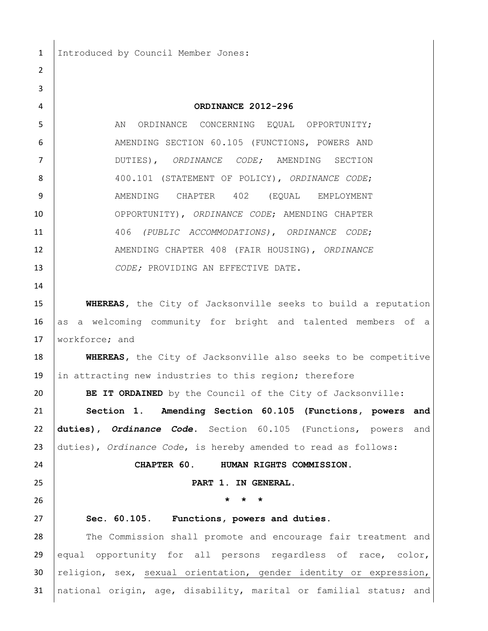1 | Introduced by Council Member Jones:

 $\mathfrak{D}$ 

 **ORDINANCE 2012-296** 5 AN ORDINANCE CONCERNING EQUAL OPPORTUNITY; AMENDING [SECTION 60.105 \(FUNCTIONS, POWERS AND](javascript:void(0))  [DUTIES\)](javascript:void(0)), *ORDINANCE CODE;* AMENDING SECTION 400.101 (STATEMENT OF POLICY), *ORDINANCE CODE*; 9 | AMENDING CHAPTER 402 (EQUAL EMPLOYMENT OPPORTUNITY), *ORDINANCE CODE*; AMENDING CHAPTER 406 *(PUBLIC ACCOMMODATIONS)*, *ORDINANCE CODE*; AMENDING CHAPTER 408 (FAIR HOUSING), *ORDINANCE*  **CODE;** PROVIDING AN EFFECTIVE DATE. **WHEREAS,** the City of Jacksonville seeks to build a reputation 16 as a welcoming community for bright and talented members of a 17 Workforce; and **WHEREAS**, the City of Jacksonville also seeks to be competitive 19 in attracting new industries to this region; therefore **BE IT ORDAINED** by the Council of the City of Jacksonville: **Section 1**. **Amending [Section 60.105 \(Functions, powers and](javascript:void(0))  [duties\)](javascript:void(0)),** *Ordinance Code***.** [Section 60.105 \(Functions, powers and](javascript:void(0))  [duties\)](javascript:void(0)), *Ordinance Code*, is hereby amended to read as follows: **CHAPTER 60. HUMAN RIGHTS COMMISSION. PART 1. IN GENERAL. \* \* \* Sec. 60.105. [Functions, powers and duties.](javascript:void(0))** 28 The Commission shall promote and encourage fair treatment and 29 equal opportunity for all persons regardless of race, color, 30 religion, sex, sexual orientation, gender identity or expression, national origin, age, disability, marital or familial status; and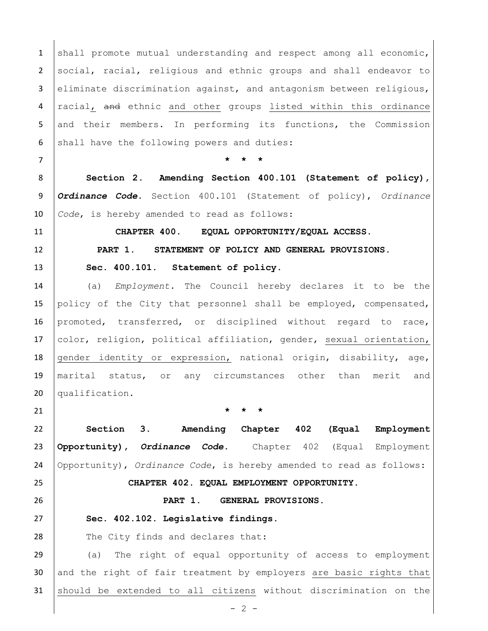1 shall promote mutual understanding and respect among all economic, 2 social, racial, religious and ethnic groups and shall endeavor to 3 eliminate discrimination against, and antagonism between religious, 4 racial, and ethnic and other groups listed within this ordinance 5 and their members. In performing its functions, the Commission 6 shall have the following powers and duties:

7 **\* \* \***

8 **Section 2**. **Amending Section 400.101 (Statement of policy),**  9 *Ordinance Code***.** Section 400.101 (Statement of policy), *Ordinance*  10 *Code*, is hereby amended to read as follows:

11 **CHAPTER 400. EQUAL OPPORTUNITY/EQUAL ACCESS.**

12 **PART 1. STATEMENT OF POLICY AND GENERAL PROVISIONS.**

13 [Sec. 400.101. Statement of policy.](javascript:void(0))

14 (a) *Employment.* The Council hereby declares it to be the 15 policy of the City that personnel shall be employed, compensated, 16 promoted, transferred, or disciplined without regard to race, 17 color, religion, political affiliation, gender, sexual orientation, 18 gender identity or expression, national origin, disability, age, 19 marital status, or any circumstances other than merit and 20 qualification.

21 **\* \* \***

22 **Section 3**. **Amending Chapter 402 (Equal Employment**  23 **Opportunity),** *Ordinance Code***.** Chapter 402 (Equal Employment 24 Opportunity), *Ordinance Code*, is hereby amended to read as follows:

25 **CHAPTER 402. EQUAL EMPLOYMENT OPPORTUNITY.**

26 **PART 1. GENERAL PROVISIONS.**

27 **[Sec. 402.102. Legislative findings.](javascript:void(0))**

28 The City finds and declares that:

29 (a) The right of equal opportunity of access to employment 30 and the right of fair treatment by employers are basic rights that 31 should be extended to all citizens without discrimination on the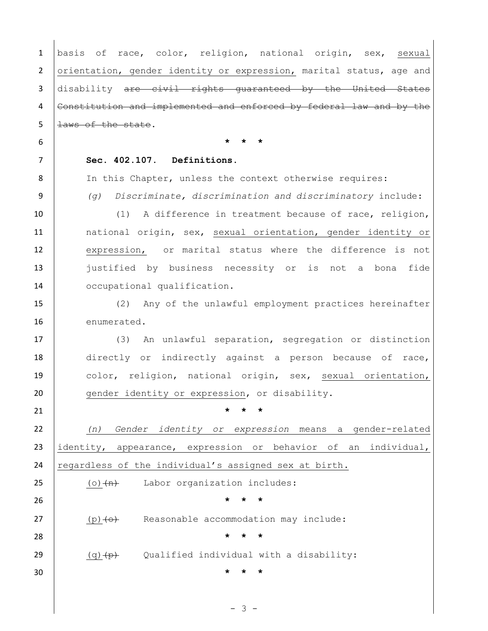| $\mathbf{1}$   | basis of race, color, religion, national origin, sex, sexual         |
|----------------|----------------------------------------------------------------------|
| $\overline{2}$ | orientation, gender identity or expression, marital status, age and  |
| 3              | disability are civil rights quaranteed by the United States          |
| 4              | Constitution and implemented and enforced by federal law and by the  |
| 5              | laws of the state.                                                   |
| 6              | $\star$                                                              |
| 7              | Sec. 402.107. Definitions.                                           |
| 8              | In this Chapter, unless the context otherwise requires:              |
| 9              | Discriminate, discrimination and discriminatory include:<br>(q)      |
| 10             | A difference in treatment because of race, religion,<br>(1)          |
| 11             | national origin, sex, sexual orientation, gender identity or         |
| 12             | expression, or marital status where the difference is not            |
| 13             | justified by business necessity or<br>is not a bona fide             |
| 14             | occupational qualification.                                          |
| 15             | (2) Any of the unlawful employment practices hereinafter             |
| 16             | enumerated.                                                          |
| 17             | An unlawful separation, segregation or distinction<br>(3)            |
| 18             | directly or indirectly against a person because of race,             |
| 19             | color, religion, national origin, sex, sexual orientation,           |
| 20             | gender identity or expression, or disability.                        |
| 21             |                                                                      |
| 22             | Gender identity or expression means a gender-related<br>(n)          |
| 23             | identity, appearance, expression or behavior of<br>individual,<br>an |
| 24             | regardless of the individual's assigned sex at birth.                |
| 25             | Labor organization includes:<br>$(o)$ $(n)$                          |
| 26             | $\star$<br>$\star$                                                   |
| 27             | Reasonable accommodation may include:<br>$(p) < \leftrightarrow$     |
| 28             | $\star$<br>$\star$<br>$^\star$                                       |
| 29             | Qualified individual with a disability:<br>$(q)$ $\overline{p}$      |
| 30             |                                                                      |
|                |                                                                      |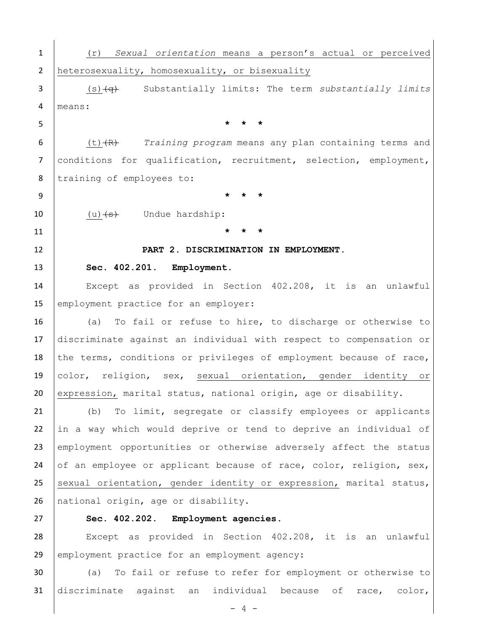| $\mathbf{1}$   | Sexual orientation means a person's actual or perceived<br>(r)             |
|----------------|----------------------------------------------------------------------------|
| $\overline{2}$ | heterosexuality, homosexuality, or bisexuality                             |
| 3              | $(s)$ $\overline{(*)}$ Substantially limits: The term substantially limits |
| 4              | means:                                                                     |
| 5              |                                                                            |
| 6              | $(t)$ $(R)$ Training program means any plan containing terms and           |
| $\overline{7}$ | conditions for qualification, recruitment, selection, employment,          |
| 8              | training of employees to:                                                  |
| 9              |                                                                            |
| 10             | $(u)$ $\leftrightarrow$ Undue hardship:                                    |
| 11             | $^\star$                                                                   |
| 12             | PART 2. DISCRIMINATION IN EMPLOYMENT.                                      |
| 13             | Sec. 402.201. Employment.                                                  |
| 14             | Except as provided in Section 402.208, it is an unlawful                   |
| 15             | employment practice for an employer:                                       |
| 16             | To fail or refuse to hire, to discharge or otherwise to<br>(a)             |
| 17             | discriminate against an individual with respect to compensation or         |
| 18             | the terms, conditions or privileges of employment because of race,         |
| 19             | color, religion, sex, sexual orientation, gender identity or               |
| 20             | expression, marital status, national origin, age or disability.            |
| 21             | To limit, segregate or classify employees or applicants<br>(b)             |
| 22             | in a way which would deprive or tend to deprive an individual of           |
| 23             | employment opportunities or otherwise adversely affect the status          |
| 24             | of an employee or applicant because of race, color, religion, sex,         |
| 25             | sexual orientation, gender identity or expression, marital status,         |
| 26             | national origin, age or disability.                                        |
| 27             | Sec. 402.202. Employment agencies.                                         |
| 28             | Except as provided in Section 402.208, it is an unlawful                   |
| 29             | employment practice for an employment agency:                              |
|                |                                                                            |

31 discriminate against an individual because of race, color,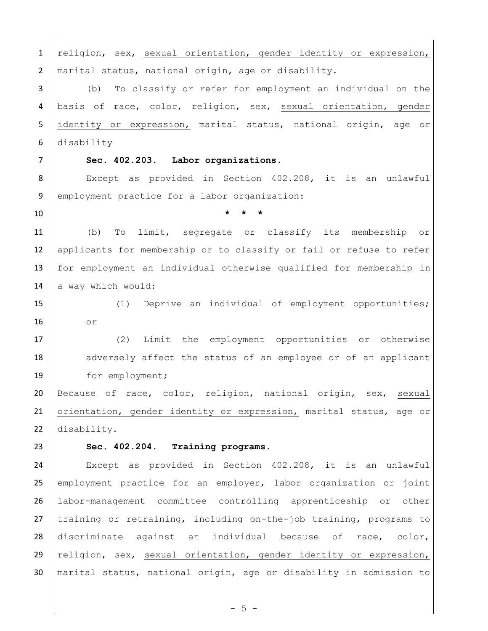1 religion, sex, sexual orientation, gender identity or expression, 2 | marital status, national origin, age or disability. (b) To classify or refer for employment an individual on the basis of race, color, religion, sex, sexual orientation, gender 5 identity or expression, marital status, national origin, age or disability **[Sec. 402.203. Labor organizations.](javascript:void(0))** Except as provided in Section 402.208, it is an unlawful 9 employment practice for a labor organization: **\* \* \*** (b) To limit, segregate or classify its membership or 12 applicants for membership or to classify or fail or refuse to refer for employment an individual otherwise qualified for membership in 14  $\vert$  a way which would: (1) Deprive an individual of employment opportunities; or (2) Limit the employment opportunities or otherwise 18 adversely affect the status of an employee or of an applicant 19 for employment; Because of race, color, religion, national origin, sex, sexual 21 | orientation, gender identity or expression, marital status, age or disability. **[Sec. 402.204. Training programs.](javascript:void(0))** Except as provided in [Section 402.208,](file://///Oak/n00007920$/level3/TITXIEQOP_CH402EQEMOP_PT2DIEM.html) it is an unlawful 25 employment practice for an employer, labor organization or joint labor-management committee controlling apprenticeship or other 27 training or retraining, including on-the-job training, programs to discriminate against an individual because of race, color, religion, sex, sexual orientation, gender identity or expression, marital status, national origin, age or disability in admission to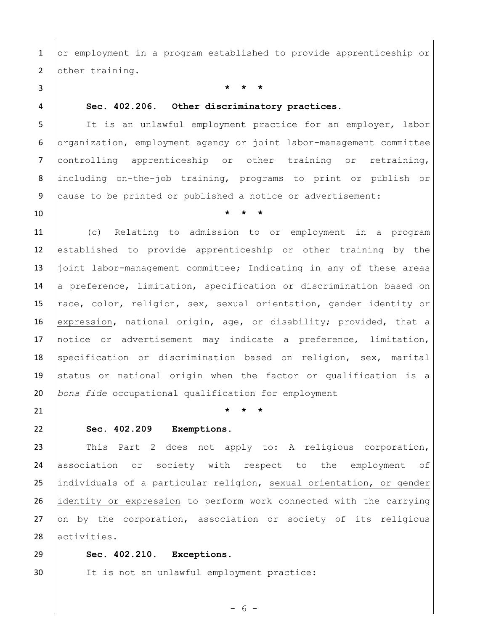1 or employment in a program established to provide apprenticeship or 2 other training.

3 **\* \* \***

# 4 **[Sec. 402.206. Other discriminatory practices.](javascript:void(0))**

5 | It is an unlawful employment practice for an employer, labor 6 | organization, employment agency or joint labor-management committee 7 controlling apprenticeship or other training or retraining, 8 including on-the-job training, programs to print or publish or 9 cause to be printed or published a notice or advertisement:

10 **\* \* \***

11 (c) Relating to admission to or employment in a program 12 established to provide apprenticeship or other training by the 13 joint labor-management committee; Indicating in any of these areas 14 a preference, limitation, specification or discrimination based on 15 | race, color, religion, sex, sexual orientation, gender identity or 16 | expression, national origin, age, or disability; provided, that a 17 notice or advertisement may indicate a preference, limitation, 18 specification or discrimination based on religion, sex, marital 19 status or national origin when the factor or qualification is a 20 *bona fide* occupational qualification for employment

21 **\* \* \***

## 22 **[Sec. 402.209](javascript:void(0)) Exemptions.**

23 | This Part 2 does not apply to: A religious corporation, 24 association or society with respect to the employment of 25 individuals of a particular religion, sexual orientation, or gender 26 identity or expression to perform work connected with the carrying  $27$  on by the corporation, association or society of its religious 28 activities.

29 **[Sec. 402.210. Exceptions.](javascript:void(0))**

30 | It is not an unlawful employment practice:

- 6 -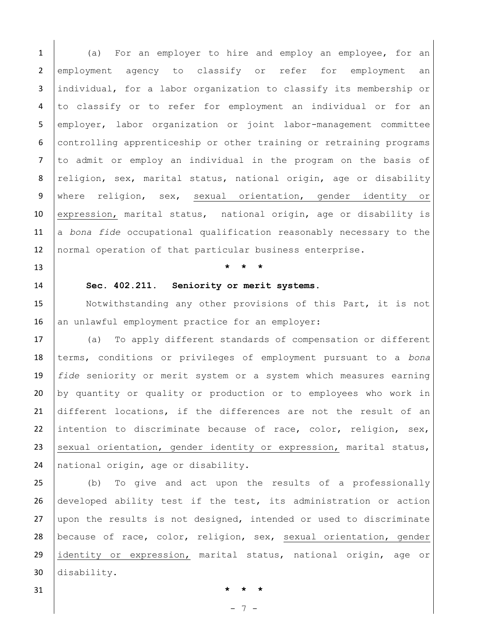1 (a) For an employer to hire and employ an employee, for an 2 employment agency to classify or refer for employment an 3 individual, for a labor organization to classify its membership or 4 to classify or to refer for employment an individual or for an 5 employer, labor organization or joint labor-management committee 6 controlling apprenticeship or other training or retraining programs 7 to admit or employ an individual in the program on the basis of 8  $religion, sex, marital status, national origin, age or disability$ 9 where religion, sex, sexual orientation, gender identity or 10 expression, marital status, national origin, age or disability is 11 a *bona fide* occupational qualification reasonably necessary to the 12 | normal operation of that particular business enterprise.

## 13 **\* \* \***

## 14 **[Sec. 402.211. Seniority or merit systems.](javascript:void(0))**

15 | Notwithstanding any other provisions of this Part, it is not 16 an unlawful employment practice for an employer:

 (a) To apply different standards of compensation or different terms, conditions or privileges of employment pursuant to a *bona fide* seniority or merit system or a system which measures earning by quantity or quality or production or to employees who work in different locations, if the differences are not the result of an 22 intention to discriminate because of race, color, religion, sex, 23 sexual orientation, gender identity or expression, marital status, 24 national origin, age or disability.

 (b) To give and act upon the results of a professionally developed ability test if the test, its administration or action upon the results is not designed, intended or used to discriminate because of race, color, religion, sex, sexual orientation, gender identity or expression, marital status, national origin, age or disability.

31 **\* \* \***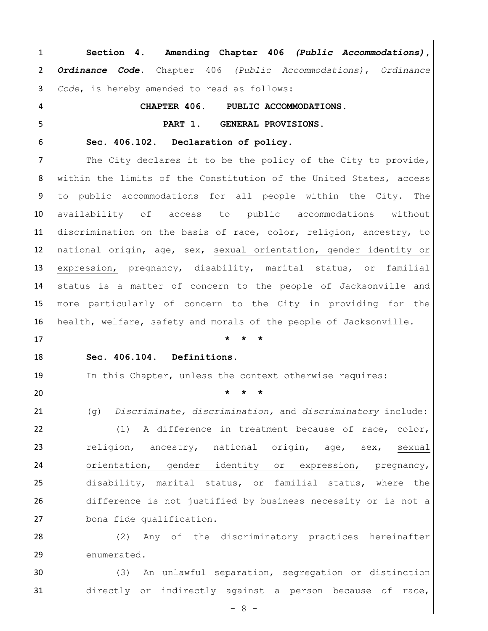**Section 4**. **Amending Chapter 406** *(Public Accommodations)***,**  *Ordinance Code***.** Chapter 406 *(Public Accommodations)*, *Ordinance Code*, is hereby amended to read as follows: **CHAPTER 406. PUBLIC ACCOMMODATIONS. PART 1. GENERAL PROVISIONS. [Sec. 406.102. Declaration of policy.](javascript:void(0))** 7 The City declares it to be the policy of the City to provide $_{\mathcal{T}}$ 8 Within the limits of the Constitution of the United States, access to public accommodations for all people within the City. The 10 availability of access to public accommodations without 11 discrimination on the basis of race, color, religion, ancestry, to national origin, age, sex, sexual orientation, gender identity or expression, pregnancy, disability, marital status, or familial 14 status is a matter of concern to the people of Jacksonville and more particularly of concern to the City in providing for the health, welfare, safety and morals of the people of Jacksonville. **\* \* \* [Sec. 406.104. Definitions.](javascript:void(0))** In this Chapter, unless the context otherwise requires: **\* \* \*** (g) *Discriminate, discrimination,* and *discriminatory* include: 22 (1) A difference in treatment because of race, color, 23 religion, ancestry, national origin, age, sex, sexual 24 orientation, gender identity or expression, pregnancy, disability, marital status, or familial status, where the difference is not justified by business necessity or is not a 27 bona fide qualification. 28 (2) Any of the discriminatory practices hereinafter 29 enumerated.

 (3) An unlawful separation, segregation or distinction directly or indirectly against a person because of race,

 $- 8 -$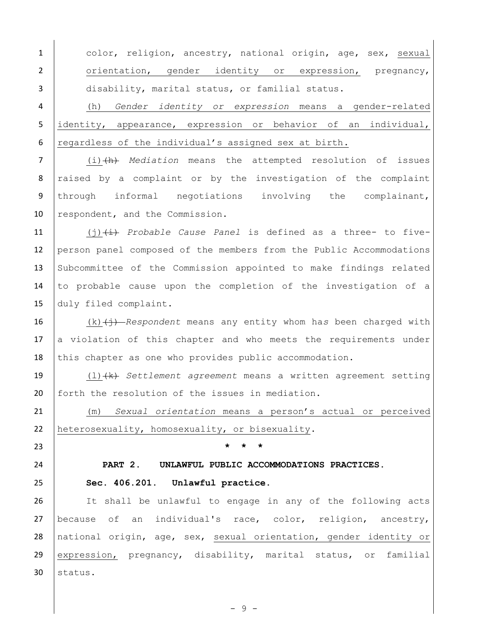1 color, religion, ancestry, national origin, age, sex, sexual 2 orientation, gender identity or expression, pregnancy, 3 disability, marital status, or familial status.

4 (h) *Gender identity or expression* means a gender-related 5 identity, appearance, expression or behavior of an individual, 6  $regardless of the individual's assigned sex at birth.$ 

7 (i)(h) *Mediation* means the attempted resolution of issues 8 raised by a complaint or by the investigation of the complaint 9 through informal negotiations involving the complainant, 10 respondent, and the Commission.

 (j)(i) *Probable Cause Panel* is defined as a three- to five-12 person panel composed of the members from the Public Accommodations Subcommittee of the Commission appointed to make findings related to probable cause upon the completion of the investigation of a duly filed complaint.

16 (k)  $\leftarrow$  *(k) Respondent* means any entity whom ha*s* been charged with  $17$  a violation of this chapter and who meets the requirements under 18 this chapter as one who provides public accommodation.

19 (l)(k) *Settlement agreement* means a written agreement setting 20 forth the resolution of the issues in mediation.

21 (m) *Sexual orientation* means a person's actual or perceived 22 heterosexuality, homosexuality, or bisexuality.

23 **\* \* \***

## 24 **PART 2. UNLAWFUL PUBLIC ACCOMMODATIONS PRACTICES.**

# 25 **[Sec. 406.201. Unlawful practice.](javascript:void(0))**

26 | It shall be unlawful to engage in any of the following acts 27 because of an individual's race, color, religion, ancestry, 28 national origin, age, sex, sexual orientation, gender identity or 29 expression, pregnancy, disability, marital status, or familial  $30$  status.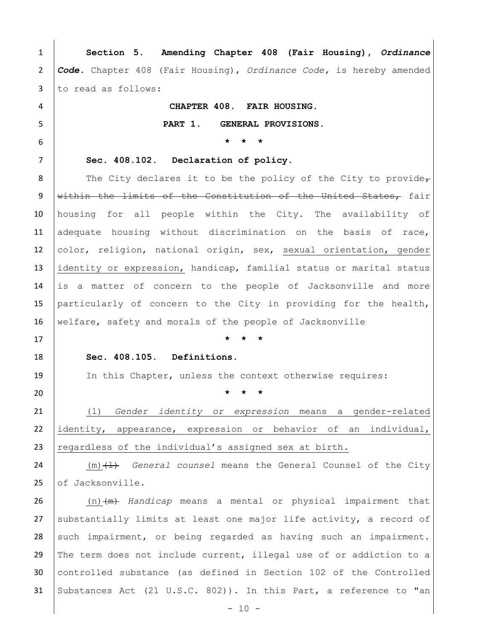1 **Section 5**. **Amending Chapter 408 (Fair Housing),** *Ordinance*  2 *Code.* Chapter 408 (Fair Housing), *Ordinance Code,* is hereby amended 3 to read as follows: 4 **CHAPTER 408. FAIR HOUSING.** 5 **PART 1. GENERAL PROVISIONS.** 6 **\* \* \***  7 **[Sec. 408.102. Declaration of policy.](javascript:void(0))** 8 The City declares it to be the policy of the City to provide $_{\mathcal{T}}$ 9 within the limits of the Constitution of the United States, fair 10 housing for all people within the City. The availability of 11 adequate housing without discrimination on the basis of race, 12 color, religion, national origin, sex, sexual orientation, gender 13 identity or expression, handicap, familial status or marital status 14 is a matter of concern to the people of Jacksonville and more 15 particularly of concern to the City in providing for the health, 16 | welfare, safety and morals of the people of Jacksonville 17 **\* \* \***  18 **[Sec. 408.105. Definitions.](javascript:void(0))** 19 In this Chapter, unless the context otherwise requires: 20 **\* \* \*** 21 (l) *Gender identity or expression* means a gender-related 22 identity, appearance, expression or behavior of an individual, 23  $r$  regardless of the individual's assigned sex at birth. 24 (m)<del>(1)</del> *General counsel* means the General Counsel of the City 25 of Jacksonville. 26 (n)  $\left( m \right)$  *Handicap* means a mental or physical impairment that 27 | substantially limits at least one major life activity, a record of 28 such impairment, or being regarded as having such an impairment. 29 The term does not include current, illegal use of or addiction to a 30 controlled substance (as defined in Section 102 of the Controlled 31 Substances Act (21 U.S.C. [802\)](file://///Oak/n00007920$/level2/TITXXIIITRPA_CH802PUPA.html)). In this Part, a reference to "an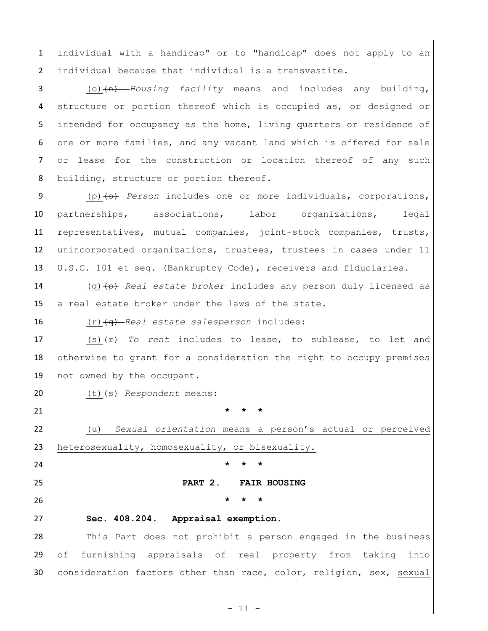1 individual with a handicap" or to "handicap" does not apply to an 2 individual because that individual is a transvestite.

3 (o)  $(n)$  *Housing facility* means and includes any building, 4 structure or portion thereof which is occupied as, or designed or 5 | intended for occupancy as the home, living quarters or residence of 6  $\vert$  one or more families, and any vacant land which is offered for sale 7 or lease for the construction or location thereof of any such 8 building, structure or portion thereof.

9 (p) (p) *Person* includes one or more individuals, corporations, 10 partnerships, associations, labor organizations, legal 11 representatives, mutual companies, joint-stock companies, trusts, 12 unincorporated organizations, trustees, trustees in cases under 11 13 U.S.C. 101 et seq. (Bankruptcy Code), receivers and fiduciaries.

14 (q)(p) *Real estate broker* includes any person duly licensed as 15 a real estate broker under the laws of the state.

16 (r)(q) *Real estate salesperson* includes:

17 | (s) (x) To rent includes to lease, to sublease, to let and 18 otherwise to grant for a consideration the right to occupy premises 19 not owned by the occupant.

20 (t) (s) Respondent means:

21 **\* \* \***

22 (u) *Sexual orientation* means a person's actual or perceived 23 heterosexuality, homosexuality, or bisexuality.

24 **\* \* \***

25 **PART 2. FAIR HOUSING**

26 **\* \* \*** 

## 27 **[Sec. 408.204. Appraisal exemption.](javascript:void(0))**

28 This Part does not prohibit a person engaged in the business 29 of furnishing appraisals of real property from taking into 30 consideration factors other than race, color, religion, sex, sexual

 $-11 -$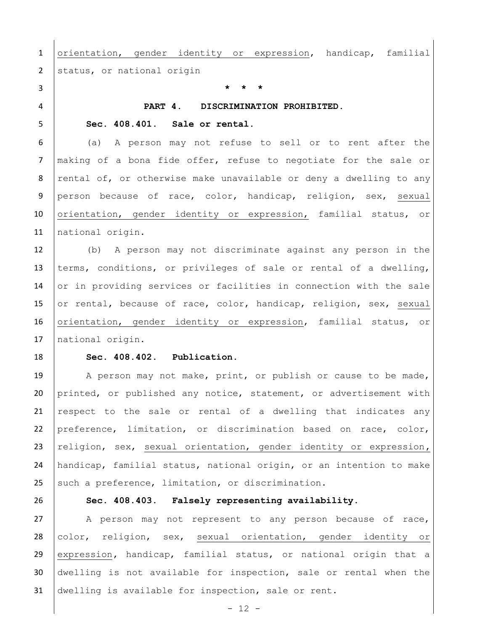1 orientation, gender identity or expression, handicap, familial 2 status, or national origin

3 **\* \* \***

#### 4 **PART 4. DISCRIMINATION PROHIBITED.**

### 5 **Sec. 408.401. [Sale or rental.](javascript:void(0))**

6 (a) A person may not refuse to sell or to rent after the 7 | making of a bona fide offer, refuse to negotiate for the sale or 8 rental of, or otherwise make unavailable or deny a dwelling to any 9 person because of race, color, handicap, religion, sex, sexual 10 orientation, gender identity or expression, familial status, or 11 | national origin.

12 (b) A person may not discriminate against any person in the 13 terms, conditions, or privileges of sale or rental of a dwelling, 14 or in providing services or facilities in connection with the sale 15 or rental, because of race, color, handicap, religion, sex, sexual 16 orientation, gender identity or expression, familial status, or 17 | national origin.

### 18 **[Sec. 408.402. Publication.](javascript:void(0))**

19 A person may not make, print, or publish or cause to be made, printed, or published any notice, statement, or advertisement with respect to the sale or rental of a dwelling that indicates any preference, limitation, or discrimination based on race, color, religion, sex, sexual orientation, gender identity or expression**,**  handicap, familial status, national origin, or an intention to make such a preference, limitation, or discrimination.

# 26 **[Sec. 408.403. Falsely representing availability.](javascript:void(0))**

27 | A person may not represent to any person because of race, 28 color, religion, sex, sexual orientation, gender identity or 29 expression**,** handicap, familial status, or national origin that a 30 dwelling is not available for inspection, sale or rental when the 31 dwelling is available for inspection, sale or rent.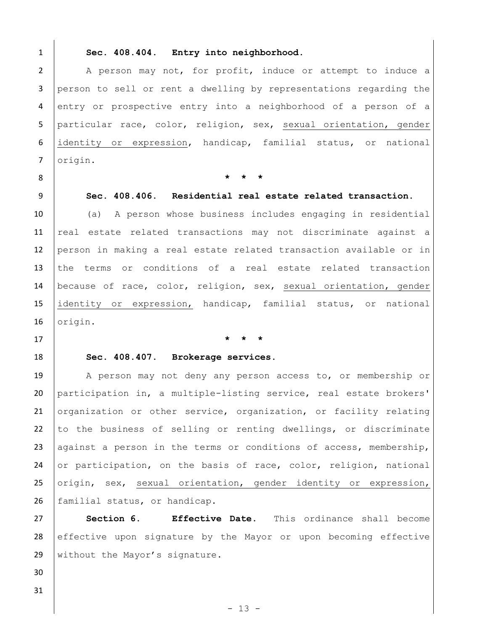### 1 **[Sec. 408.404. Entry into neighborhood.](javascript:void(0))**

2 | A person may not, for profit, induce or attempt to induce a 3 person to sell or rent a dwelling by representations regarding the 4 entry or prospective entry into a neighborhood of a person of a 5 particular race, color, religion, sex, sexual orientation, gender 6 identity or expression, handicap, familial status, or national 7 | origin.

8 **\* \* \***

# 9 **[Sec. 408.406. Residential real estate related transaction.](javascript:void(0))**

 (a) A person whose business includes engaging in residential 11 real estate related transactions may not discriminate against a person in making a real estate related transaction available or in the terms or conditions of a real estate related transaction because of race, color, religion, sex, sexual orientation, gender identity or expression, handicap, familial status, or national 16 | origin.

## 17 **\* \* \***

# 18 **[Sec. 408.407. Brokerage services.](javascript:void(0))**

19 | A person may not deny any person access to, or membership or 20 participation in, a multiple-listing service, real estate brokers' 21 organization or other service, organization, or facility relating 22 to the business of selling or renting dwellings, or discriminate 23 against a person in the terms or conditions of access, membership, 24 or participation, on the basis of race, color, religion, national 25 origin, sex, sexual orientation, gender identity or expression, 26 familial status, or handicap.

27 **Section 6. Effective Date.** This ordinance shall become 28 effective upon signature by the Mayor or upon becoming effective 29 | without the Mayor's signature.

31

30